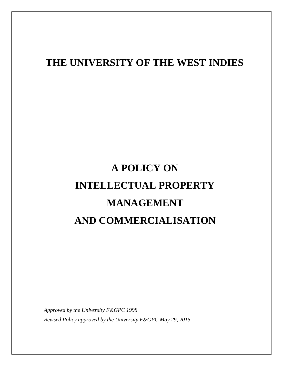## **THE UNIVERSITY OF THE WEST INDIES**

# **A POLICY ON INTELLECTUAL PROPERTY MANAGEMENT AND COMMERCIALISATION**

*Approved by the University F&GPC 1998 Revised Policy approved by the University F&GPC May 29, 2015*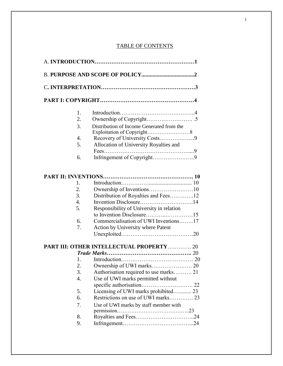#### TABLE OF CONTENTS

|                  |                                                 |  | 1. |  |
|------------------|-------------------------------------------------|--|----|--|
| 2.               |                                                 |  |    |  |
| 3.               | Distribution of Income Generated from the       |  |    |  |
| 4.               | Recovery of University Costs9                   |  |    |  |
| 5.               | Allocation of University Royalties and          |  |    |  |
|                  |                                                 |  |    |  |
| 6.               | Infringement of Copyright9                      |  |    |  |
|                  |                                                 |  |    |  |
| 1.               |                                                 |  |    |  |
| 2.               |                                                 |  |    |  |
| 3.               | Distribution of Royalties and Fees12            |  |    |  |
| 4.               |                                                 |  |    |  |
| 5.               | Responsibility of University in relation        |  |    |  |
|                  |                                                 |  |    |  |
| 6.               | Commercialisation of UWI Inventions17           |  |    |  |
| 7.               | Action by University where Patent               |  |    |  |
|                  |                                                 |  |    |  |
|                  | <b>PART III: OTHER INTELLECTUAL PROPERTY 20</b> |  |    |  |
|                  |                                                 |  |    |  |
|                  |                                                 |  |    |  |
| 2.               |                                                 |  |    |  |
| 3.               | Authorisation required to use marks 21          |  |    |  |
| $\overline{4}$ . | Use of UWI marks permitted without              |  |    |  |
|                  |                                                 |  |    |  |
| 5.               | Licensing of UWI marks prohibited 23            |  |    |  |
| 6.               |                                                 |  |    |  |
| 7.               | Use of UWI marks by staff member with           |  |    |  |
| 8.               |                                                 |  |    |  |
| 9.               |                                                 |  |    |  |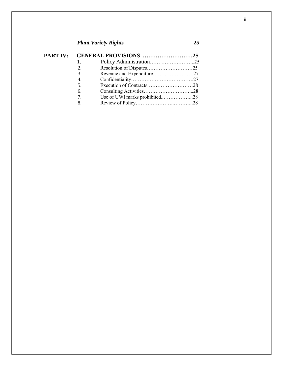### *Plant Variety Rights* **25**

|  | PART IV: GENERAL PROVISIONS 25            |                               |  |
|--|-------------------------------------------|-------------------------------|--|
|  | 1.                                        |                               |  |
|  | 2.                                        |                               |  |
|  | 3.                                        |                               |  |
|  | 4.                                        |                               |  |
|  | 5.                                        |                               |  |
|  | 6.                                        |                               |  |
|  | $7_{\scriptscriptstyle{\ddot{\text{c}}}}$ | Use of UWI marks prohibited28 |  |
|  | 8.                                        |                               |  |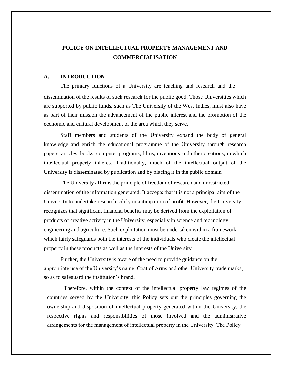#### **POLICY ON INTELLECTUAL PROPERTY MANAGEMENT AND COMMERCIALISATION**

#### **A. INTRODUCTION**

The primary functions of a University are teaching and research and the dissemination of the results of such research for the public good. Those Universities which are supported by public funds, such as The University of the West Indies, must also have as part of their mission the advancement of the public interest and the promotion of the economic and cultural development of the area which they serve.

Staff members and students of the University expand the body of general knowledge and enrich the educational programme of the University through research papers, articles, books, computer programs, films, inventions and other creations, in which intellectual property inheres. Traditionally, much of the intellectual output of the University is disseminated by publication and by placing it in the public domain.

The University affirms the principle of freedom of research and unrestricted dissemination of the information generated. It accepts that it is not a principal aim of the University to undertake research solely in anticipation of profit. However, the University recognizes that significant financial benefits may be derived from the exploitation of products of creative activity in the University, especially in science and technology, engineering and agriculture. Such exploitation must be undertaken within a framework which fairly safeguards both the interests of the individuals who create the intellectual property in these products as well as the interests of the University.

Further, the University is aware of the need to provide guidance on the appropriate use of the University's name, Coat of Arms and other University trade marks, so as to safeguard the institution's brand.

Therefore, within the context of the intellectual property law regimes of the countries served by the University, this Policy sets out the principles governing the ownership and disposition of intellectual property generated within the University, the respective rights and responsibilities of those involved and the administrative arrangements for the management of intellectual property in the University. The Policy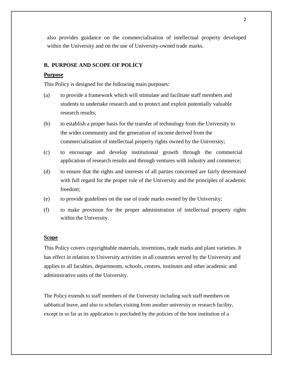also provides guidance on the commercialisation of intellectual property developed within the University and on the use of University-owned trade marks.

#### **B. PURPOSE AND SCOPE OF POLICY**

#### **Purpose**

This Policy is designed for the following main purposes:

- (a) to provide a framework which will stimulate and facilitate staff members and students to undertake research and to protect and exploit potentially valuable research results;
- (b) to establish a proper basis for the transfer of technology from the University to the wider community and the generation of income derived from the commercialisation of intellectual property rights owned by the University;
- (c) to encourage and develop institutional growth through the commercial application of research results and through ventures with industry and commerce;
- (d) to ensure that the rights and interests of all parties concerned are fairly determined with full regard for the proper role of the University and the principles of academic freedom;
- (e) to provide guidelines on the use of trade marks owned by the University;
- (f) to make provision for the proper administration of intellectual property rights within the University.

#### **Scope**

This Policy covers copyrightable materials, inventions, trade marks and plant varieties. It has effect in relation to University activities in all countries served by the University and applies to all faculties, departments, schools, centres, institutes and other academic and administrative units of the University.

The Policy extends to staff members of the University including such staff members on sabbatical leave, and also to scholars visiting from another university or research facility, except in so far as its application is precluded by the policies of the host institution of a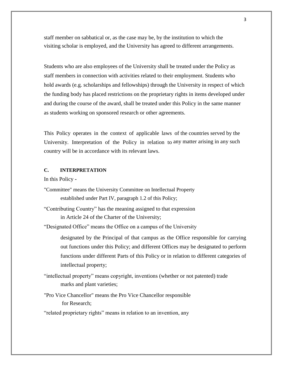staff member on sabbatical or, as the case may be, by the institution to which the visiting scholar is employed, and the University has agreed to different arrangements.

Students who are also employees of the University shall be treated under the Policy as staff members in connection with activities related to their employment. Students who hold awards (e.g. scholarships and fellowships) through the University in respect of which the funding body has placed restrictions on the proprietary rights in items developed under and during the course of the award, shall be treated under this Policy in the same manner as students working on sponsored research or other agreements.

This Policy operates in the context of applicable laws of the countries served by the University. Interpretation of the Policy in relation to any matter arising in any such country will be in accordance with its relevant laws.

#### **C. INTERPRETATION**

In this Policy **-**

- "Committee" means the University Committee on Intellectual Property established under Part IV, paragraph 1.2 of this Policy;
- "Contributing Country" has the meaning assigned to that expression in Article 24 of the Charter of the University;

"Designated Office" means the Office on a campus of the University

designated by the Principal of that campus as the Office responsible for carrying out functions under this Policy; and different Offices may be designated to perform functions under different Parts of this Policy or in relation to different categories of intellectual property;

- "intellectual property" means copyright, inventions (whether or not patented) trade marks and plant varieties;
- "Pro Vice Chancellor" means the Pro Vice Chancellor responsible for Research;

"related proprietary rights" means in relation to an invention, any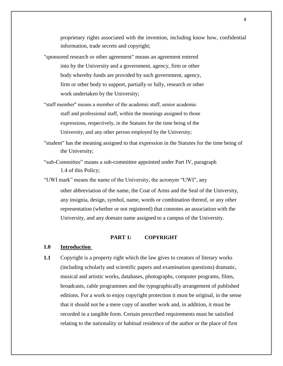proprietary rights associated with the invention, including know how, confidential information, trade secrets and copyright;

- "sponsored research or other agreement" means an agreement entered into by the University and a government, agency, firm or other body whereby funds are provided by such government, agency, firm or other body to support, partially or fully, research or other work undertaken by the University;
- "staff member" means a member of the academic staff, senior academic staff and professional staff, within the meanings assigned to those expressions, respectively, in the Statutes for the time being of the University, and any other person employed by the University;
- "student" has the meaning assigned to that expression in the Statutes for the time being of the University;
- "sub-Committee" means a sub-committee appointed under Part IV, paragraph 1.4 of this Policy;
- "UWI mark" means the name of the University, the acronym "UWI", any

other abbreviation of the name, the Coat of Arms and the Seal of the University, any insignia, design, symbol, name, words or combination thereof, or any other representation (whether or not registered) that connotes an association with the University, and any domain name assigned to a campus of the University.

#### **PART 1: COPYRIGHT**

#### **1.0 Introduction**

**1.1** Copyright is a property right which the law gives to creators of literary works (including scholarly and scientific papers and examination questions) dramatic, musical and artistic works, databases, photographs, computer programs, films, broadcasts, cable programmes and the typographically arrangement of published editions. For a work to enjoy copyright protection it must be original, in the sense that it should not be a mere copy of another work and, in addition, it must be recorded in a tangible form. Certain prescribed requirements must be satisfied relating to the nationality or habitual residence of the author or the place of first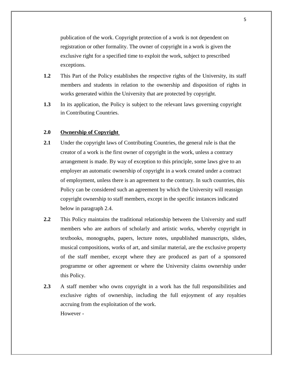publication of the work. Copyright protection of a work is not dependent on registration or other formality. The owner of copyright in a work is given the exclusive right for a specified time to exploit the work, subject to prescribed exceptions.

- **1.2** This Part of the Policy establishes the respective rights of the University, its staff members and students in relation to the ownership and disposition of rights in works generated within the University that are protected by copyright.
- **1.3** In its application, the Policy is subject to the relevant laws governing copyright in Contributing Countries.

#### **2.0 Ownership of Copyright**

- 2.1 Under the copyright laws of Contributing Countries, the general rule is that the creator of a work is the first owner of copyright in the work, unless a contrary arrangement is made. By way of exception to this principle, some laws give to an employer an automatic ownership of copyright in a work created under a contract of employment, unless there is an agreement to the contrary. In such countries, this Policy can be considered such an agreement by which the University will reassign copyright ownership to staff members, except in the specific instances indicated below in paragraph 2.4.
- **2.2** This Policy maintains the traditional relationship between the University and staff members who are authors of scholarly and artistic works, whereby copyright in textbooks, monographs, papers, lecture notes, unpublished manuscripts, slides, musical compositions, works of art, and similar material, are the exclusive property of the staff member, except where they are produced as part of a sponsored programme or other agreement or where the University claims ownership under this Policy.
- **2.3** A staff member who owns copyright in a work has the full responsibilities and exclusive rights of ownership, including the full enjoyment of any royalties accruing from the exploitation of the work. However -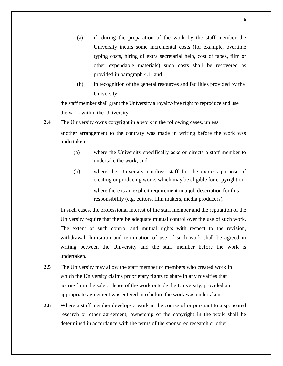- (a) if, during the preparation of the work by the staff member the University incurs some incremental costs (for example, overtime typing costs, hiring of extra secretarial help, cost of tapes, film or other expendable materials) such costs shall be recovered as provided in paragraph 4.1; and
- (b) in recognition of the general resources and facilities provided by the University,

the staff member shall grant the University a royalty-free right to reproduce and use the work within the University.

- **2.4** The University owns copyright in a work in the following cases, unless another arrangement to the contrary was made in writing before the work was undertaken -
	- (a) where the University specifically asks or directs a staff member to undertake the work; and
	- (b) where the University employs staff for the express purpose of creating or producing works which may be eligible for copyright or where there is an explicit requirement in a job description for this responsibility (e.g. editors, film makers, media producers).

In such cases, the professional interest of the staff member and the reputation of the University require that there be adequate mutual control over the use of such work. The extent of such control and mutual rights with respect to the revision, withdrawal, limitation and termination of use of such work shall be agreed in writing between the University and the staff member before the work is undertaken.

- **2.5** The University may allow the staff member or members who created work in which the University claims proprietary rights to share in any royalties that accrue from the sale or lease of the work outside the University, provided an appropriate agreement was entered into before the work was undertaken.
- **2.6** Where a staff member develops a work in the course of or pursuant to a sponsored research or other agreement, ownership of the copyright in the work shall be determined in accordance with the terms of the sponsored research or other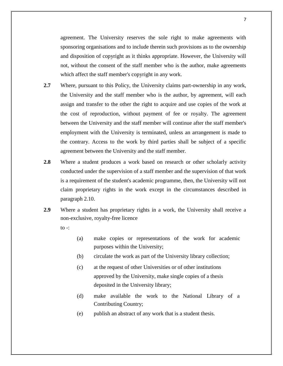agreement. The University reserves the sole right to make agreements with sponsoring organisations and to include therein such provisions as to the ownership and disposition of copyright as it thinks appropriate. However, the University will not, without the consent of the staff member who is the author, make agreements which affect the staff member's copyright in any work.

- **2.7** Where, pursuant to this Policy, the University claims part-ownership in any work, the University and the staff member who is the author, by agreement, will each assign and transfer to the other the right to acquire and use copies of the work at the cost of reproduction, without payment of fee or royalty. The agreement between the University and the staff member will continue after the staff member's employment with the University is terminated, unless an arrangement is made to the contrary. Access to the work by third parties shall be subject of a specific agreement between the University and the staff member.
- **2.8** Where a student produces a work based on research or other scholarly activity conducted under the supervision of a staff member and the supervision of that work is a requirement of the student's academic programme, then, the University will not claim proprietary rights in the work except in the circumstances described in paragraph 2.10.
- **2.9** Where a student has proprietary rights in a work, the University shall receive a non-exclusive, royalty-free licence
	- to  $-$ :
- (a) make copies or representations of the work for academic purposes within the University;
- (b) circulate the work as part of the University library collection;
- (c) at the request of other Universities or of other institutions approved by the University, make single copies of a thesis deposited in the University library;
- (d) make available the work to the National Library of a Contributing Country;
- (e) publish an abstract of any work that is a student thesis.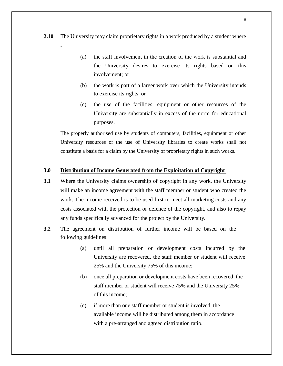**2.10** The University may claim proprietary rights in a work produced by a student where

-

- (a) the staff involvement in the creation of the work is substantial and the University desires to exercise its rights based on this involvement; or
- (b) the work is part of a larger work over which the University intends to exercise its rights; or
- (c) the use of the facilities, equipment or other resources of the University are substantially in excess of the norm for educational purposes.

The properly authorised use by students of computers, facilities, equipment or other University resources or the use of University libraries to create works shall not constitute a basis for a claim by the University of proprietary rights in such works.

#### **3.0 Distribution of Income Generated from the Exploitation of Copyright**

- **3.1** Where the University claims ownership of copyright in any work, the University will make an income agreement with the staff member or student who created the work. The income received is to be used first to meet all marketing costs and any costs associated with the protection or defence of the copyright, and also to repay any funds specifically advanced for the project by the University.
- **3.2** The agreement on distribution of further income will be based on the following guidelines:
	- (a) until all preparation or development costs incurred by the University are recovered, the staff member or student will receive 25% and the University 75% of this income;
	- (b) once all preparation or development costs have been recovered, the staff member or student will receive 75% and the University 25% of this income;
	- (c) if more than one staff member or student is involved, the available income will be distributed among them in accordance with a pre-arranged and agreed distribution ratio.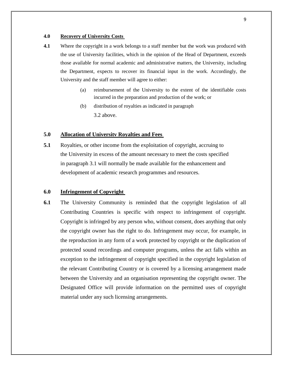#### **4.0 Recovery of University Costs**

- **4.1** Where the copyright in a work belongs to a staff member but the work was produced with the use of University facilities, which in the opinion of the Head of Department, exceeds those available for normal academic and administrative matters, the University, including the Department, expects to recover its financial input in the work. Accordingly, the University and the staff member will agree to either:
	- (a) reimbursement of the University to the extent of the identifiable costs incurred in the preparation and production of the work; or
	- (b) distribution of royalties as indicated in paragraph 3.2 above.

#### **5.0 Allocation of Universitv Royalties and Fees**

**5.1** Royalties, or other income from the exploitation of copyright, accruing to the University in excess of the amount necessary to meet the costs specified in paragraph 3.1 will normally be made available for the enhancement and development of academic research programmes and resources.

#### **6.0 Infringement of Copvright**

**6.1** The University Community is reminded that the copyright legislation of all Contributing Countries is specific with respect to infringement of copyright. Copyright is infringed by any person who, without consent, does anything that only the copyright owner has the right to do. Infringement may occur, for example, in the reproduction in any form of a work protected by copyright or the duplication of protected sound recordings and computer programs, unless the act falls within an exception to the infringement of copyright specified in the copyright legislation of the relevant Contributing Country or is covered by a licensing arrangement made between the University and an organisation representing the copyright owner. The Designated Office will provide information on the permitted uses of copyright material under any such licensing arrangements.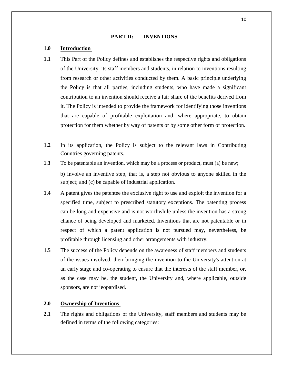#### **PART II: INVENTIONS**

#### **1.0 Introduction**

- **1.1** This Part of the Policy defines and establishes the respective rights and obligations of the University, its staff members and students, in relation to inventions resulting from research or other activities conducted by them. A basic principle underlying the Policy is that all parties, including students, who have made a significant contribution to an invention should receive a fair share of the benefits derived from it. The Policy is intended to provide the framework for identifying those inventions that are capable of profitable exploitation and, where appropriate, to obtain protection for them whether by way of patents or by some other form of protection.
- **1.2** In its application, the Policy is subject to the relevant laws in Contributing Countries governing patents.
- **1.3** To be patentable an invention, which may be a process or product, must (a) be new; b) involve an inventive step, that is, a step not obvious to anyone skilled in the subject; and (c) be capable of industrial application.
- **1.4** A patent gives the patentee the exclusive right to use and exploit the invention for a specified time, subject to prescribed statutory exceptions. The patenting process can be long and expensive and is not worthwhile unless the invention has a strong chance of being developed and marketed. Inventions that are not patentable or in respect of which a patent application is not pursued may, nevertheless, be profitable through licensing and other arrangements with industry.
- **1.5** The success of the Policy depends on the awareness of staff members and students of the issues involved, their bringing the invention to the University's attention at an early stage and co-operating to ensure that the interests of the staff member, or, as the case may be, the student, the University and, where applicable, outside sponsors, are not jeopardised.

#### **2.0 Ownership of Inventions**

**2.1** The rights and obligations of the University, staff members and students may be defined in terms of the following categories: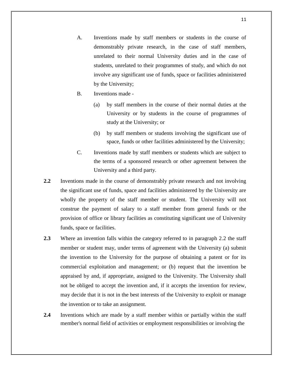- A. Inventions made by staff members or students in the course of demonstrably private research, in the case of staff members, unrelated to their normal University duties and in the case of students, unrelated to their programmes of study, and which do not involve any significant use of funds, space or facilities administered by the University;
- B. Inventions made
	- (a) by staff members in the course of their normal duties at the University or by students in the course of programmes of study at the University; or
	- (b) by staff members or students involving the significant use of space, funds or other facilities administered by the University;
- C. Inventions made by staff members or students which are subject to the terms of a sponsored research or other agreement between the University and a third party.
- **2.2** Inventions made in the course of demonstrably private research and not involving the significant use of funds, space and facilities administered by the University are wholly the property of the staff member or student. The University will not construe the payment of salary to a staff member from general funds or the provision of office or library facilities as constituting significant use of University funds, space or facilities.
- **2.3** Where an invention falls within the category referred to in paragraph 2.2 the staff member or student may, under terms of agreement with the University (a) submit the invention to the University for the purpose of obtaining a patent or for its commercial exploitation and management; or (b) request that the invention be appraised by and, if appropriate, assigned to the University. The University shall not be obliged to accept the invention and, if it accepts the invention for review, may decide that it is not in the best interests of the University to exploit or manage the invention or to take an assignment.
- **2.4** Inventions which are made by a staff member within or partially within the staff member's normal field of activities or employment responsibilities or involving the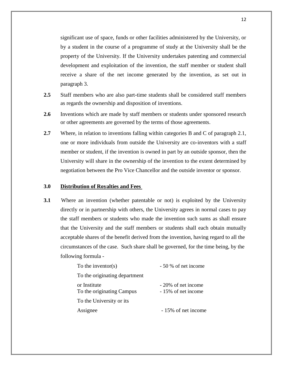significant use of space, funds or other facilities administered by the University, or by a student in the course of a programme of study at the University shall be the property of the University. If the University undertakes patenting and commercial development and exploitation of the invention, the staff member or student shall receive a share of the net income generated by the invention, as set out in paragraph 3.

- **2.5** Staff members who are also part-time students shall be considered staff members as regards the ownership and disposition of inventions.
- **2.6** Inventions which are made by staff members or students under sponsored research or other agreements are governed by the terms of those agreements.
- **2.7** Where, in relation to inventions falling within categories B and C of paragraph 2.1, one or more individuals from outside the University are co-inventors with a staff member or student, if the invention is owned in part by an outside sponsor, then the University will share in the ownership of the invention to the extent determined by negotiation between the Pro Vice Chancellor and the outside inventor or sponsor.

#### **3.0 Distribution of Royalties and Fees**

**3.1** Where an invention (whether patentable or not) is exploited by the University directly or in partnership with others, the University agrees in normal cases to pay the staff members or students who made the invention such sums as shall ensure that the University and the staff members or students shall each obtain mutually acceptable shares of the benefit derived from the invention, having regard to all the circumstances of the case. Such share shall be governed, for the time being, by the following formula -

| To the inventor( $s$ )                    | - 50 % of net income                       |
|-------------------------------------------|--------------------------------------------|
| To the originating department             |                                            |
| or Institute<br>To the originating Campus | - 20% of net income<br>- 15% of net income |
| To the University or its                  |                                            |
| Assignee                                  | - 15% of net income                        |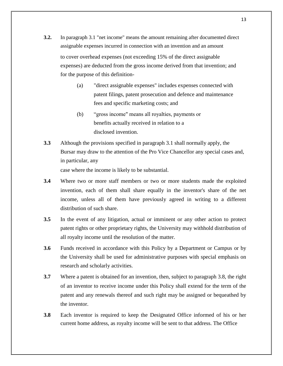- **3.2.** In paragraph 3.1 "net income" means the amount remaining after documented direct assignable expenses incurred in connection with an invention and an amount to cover overhead expenses (not exceeding 15% of the direct assignable expenses) are deducted from the gross income derived from that invention; and for the purpose of this definition-
	- (a) "direct assignable expenses" includes expenses connected with patent filings, patent prosecution and defence and maintenance fees and specific marketing costs; and
	- (b) "gross income" means all royalties, payments or benefits actually received in relation to a disclosed invention.
- **3.3** Although the provisions specified in paragraph 3.1 shall normally apply, the Bursar may draw to the attention of the Pro Vice Chancellor any special cases and, in particular, any case where the income is likely to be substantial.
- **3.4** Where two or more staff members or two or more students made the exploited invention, each of them shall share equally in the inventor's share of the net income, unless all of them have previously agreed in writing to a different distribution of such share.
- **3.5** In the event of any litigation, actual or imminent or any other action to protect patent rights or other proprietary rights, the University may withhold distribution of all royalty income until the resolution of the matter.
- **3.6** Funds received in accordance with this Policy by a Department or Campus or by the University shall be used for administrative purposes with special emphasis on research and scholarly activities.
- **3.7** Where a patent is obtained for an invention, then, subject to paragraph 3.8, the right of an inventor to receive income under this Policy shall extend for the term of the patent and any renewals thereof and such right may be assigned or bequeathed by the inventor.
- **3.8** Each inventor is required to keep the Designated Office informed of his or her current home address, as royalty income will be sent to that address. The Office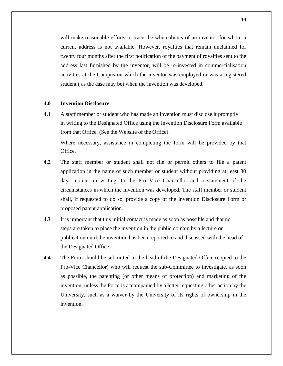will make reasonable efforts to trace the whereabouts of an inventor for whom a current address is not available. However, royalties that remain unclaimed for twenty four months after the first notification of the payment of royalties sent to the address last furnished by the inventor, will be re-invested in commercialisation activities at the Campus on which the inventor was employed or was a registered student ( as the case may be) when the invention was developed.

#### **4.0 Invention Disclosure**

**4.1** A staff member or student who has made an invention must disclose it promptly in writing to the Designated Office using the Invention Disclosure Form available from that Office. (See the Website of the Office).

Where necessary, assistance in completing the form will be provided by that Office.

- **4.2** The staff member or student shall not file or permit others to file a patent application in the name of such member or student without providing at least 30 days' notice, in writing, to the Pro Vice Chancellor and a statement of the circumstances in which the invention was developed. The staff member or student shall, if requested to do so, provide a copy of the Invention Disclosure Form or proposed patent application.
- **4.3** It is important that this initial contact is made as soon as possible and that no steps are taken to place the invention in the public domain by a lecture or publication until the invention has been reported to and discussed with the head of the Designated Office.
- **4.4** The Form should be submitted to the head of the Designated Office (copied to the Pro-Vice Chancellor) who will request the sub-Committee to investigate, as soon as possible, the patenting (or other means of protection) and marketing of the invention, unless the Form is accompanied by a letter requesting other action by the University, such as a waiver by the University of its rights of ownership in the invention.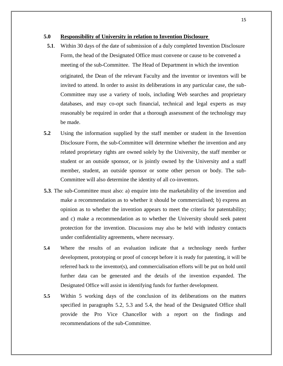#### **5.0 Responsibility of University in relation to Invention Disclosure**

- **5.1**. Within 30 days of the date of submission of a duly completed Invention Disclosure Form, the head of the Designated Office must convene or cause to be convened a meeting of the sub-Committee. The Head of Department in which the invention originated, the Dean of the relevant Faculty and the inventor or inventors will be invited to attend. In order to assist its deliberations in any particular case, the sub-Committee may use a variety of tools, including Web searches and proprietary databases, and may co-opt such financial, technical and legal experts as may reasonably be required in order that a thorough assessment of the technology may be made.
- **5.2** Using the information supplied by the staff member or student in the Invention Disclosure Form, the sub-Committee will determine whether the invention and any related proprietary rights are owned solely by the University, the staff member or student or an outside sponsor, or is jointly owned by the University and a staff member, student, an outside sponsor or some other person or body. The sub-Committee will also determine the identity of all co-inventors.
- **5.3**. The sub-Committee must also: a) enquire into the marketability of the invention and make a recommendation as to whether it should be commercialised; b) express an opinion as to whether the invention appears to meet the criteria for patentability; and c) make a recommendation as to whether the University should seek patent protection for the invention. Discussions may also be held with industry contacts under confidentiality agreements, where necessary.
- **5.4** Where the results of an evaluation indicate that a technology needs further development, prototyping or proof of concept before it is ready for patenting, it will be referred back to the inventor(s), and commercialisation efforts will be put on hold until further data can be generated and the details of the invention expanded. The Designated Office will assist in identifying funds for further development.
- **5.5** Within 5 working days of the conclusion of its deliberations on the matters specified in paragraphs 5.2, 5.3 and 5.4, the head of the Designated Office shall provide the Pro Vice Chancellor with a report on the findings and recommendations of the sub-Committee.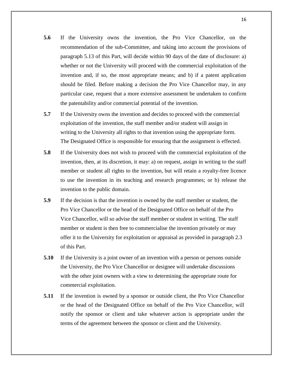- **5.6** If the University owns the invention, the Pro Vice Chancellor, on the recommendation of the sub-Committee, and taking into account the provisions of paragraph 5.13 of this Part, will decide within 90 days of the date of disclosure: a) whether or not the University will proceed with the commercial exploitation of the invention and, if so, the most appropriate means; and b) if a patent application should be filed. Before making a decision the Pro Vice Chancellor may, in any particular case, request that a more extensive assessment be undertaken to confirm the patentability and/or commercial potential of the invention.
- **5.7** If the University owns the invention and decides to proceed with the commercial exploitation of the invention, the staff member and/or student will assign in writing to the University all rights to that invention using the appropriate form. The Designated Office is responsible for ensuring that the assignment is effected.
- **5.8** If the University does not wish to proceed with the commercial exploitation of the invention, then, at its discretion, it may: a) on request, assign in writing to the staff member or student all rights to the invention, but will retain a royalty-free licence to use the invention in its teaching and research programmes; or b) release the invention to the public domain.
- **5.9** If the decision is that the invention is owned by the staff member or student, the Pro Vice Chancellor or the head of the Designated Office on behalf of the Pro Vice Chancellor, will so advise the staff member or student in writing. The staff member or student is then free to commercialise the invention privately or may offer it to the University for exploitation or appraisal as provided in paragraph 2.3 of this Part.
- **5.10** If the University is a joint owner of an invention with a person or persons outside the University, the Pro Vice Chancellor or designee will undertake discussions with the other joint owners with a view to determining the appropriate route for commercial exploitation.
- **5.11** If the invention is owned by a sponsor or outside client, the Pro Vice Chancellor or the head of the Designated Office on behalf of the Pro Vice Chancellor, will notify the sponsor or client and take whatever action is appropriate under the terms of the agreement between the sponsor or client and the University.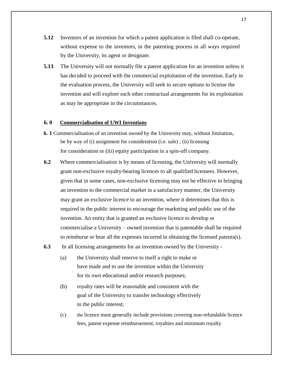- **5.12** Inventors of an invention for which a patent application is filed shall co-operate, without expense to the inventors, in the patenting process in all ways required by the University, its agent or designate.
- **5.13** The University will not normally file a patent application for an invention unless it has decided to proceed with the commercial exploitation of the invention. Early in the evaluation process, the University will seek to secure options to license the invention and will explore such other contractual arrangements for its exploitation as may be appropriate in the circumstances.

#### **6. 0 Commercialisation of UWI Inventions**

- **6. 1** Commercialisation of an invention owned by the University may, without limitation, be by way of (i) assignment for consideration (i.e. sale) ; (ii) licensing for consideration or (iii) equity participation in a spin-off company.
- **6.2** Where commercialisation is by means of licensing, the University will normally grant non-exclusive royalty-bearing licences to all qualified licensees. However, given that in some cases, non-exclusive licensing may not be effective in bringing an invention to the commercial market in a satisfactory manner, the University may grant an exclusive licence to an invention, where it determines that this is required in the public interest to encourage the marketing and public use of the invention. An entity that is granted an exclusive licence to develop or commercialise a University – owned invention that is patentable shall be required to reimburse or bear all the expenses incurred in obtaining the licensed patents(s).
- **6.3** In all licensing arrangements for an invention owned by the University
	- (a) the University shall reserve to itself a right to make or have made and to use the invention within the University for its own educational and/or research purposes;
	- (b) royalty rates will be reasonable and consistent with the goal of the University to transfer technology effectively in the public interest;
	- (c) the licence must generally include provisions covering non-refundable licence fees, patent expense reimbursement, royalties and minimum royalty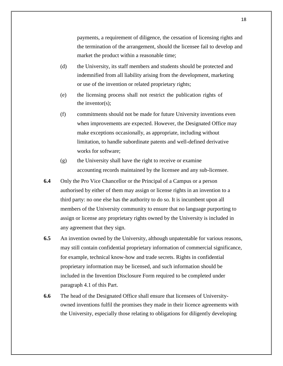payments, a requirement of diligence, the cessation of licensing rights and the termination of the arrangement, should the licensee fail to develop and market the product within a reasonable time;

- (d) the University, its staff members and students should be protected and indemnified from all liability arising from the development, marketing or use of the invention or related proprietary rights;
- (e) the licensing process shall not restrict the publication rights of the inventor $(s)$ ;
- (f) commitments should not be made for future University inventions even when improvements are expected. However, the Designated Office may make exceptions occasionally, as appropriate, including without limitation, to handle subordinate patents and well-defined derivative works for software;
- (g) the University shall have the right to receive or examine accounting records maintained by the licensee and any sub-licensee.
- **6.4** Only the Pro Vice Chancellor or the Principal of a Campus or a person authorised by either of them may assign or license rights in an invention to a third party: no one else has the authority to do so. It is incumbent upon all members of the University community to ensure that no language purporting to assign or license any proprietary rights owned by the University is included in any agreement that they sign.
- **6.5** An invention owned by the University, although unpatentable for various reasons, may still contain confidential proprietary information of commercial significance, for example, technical know-how and trade secrets. Rights in confidential proprietary information may be licensed, and such information should be included in the Invention Disclosure Form required to be completed under paragraph 4.1 of this Part.
- **6.6** The head of the Designated Office shall ensure that licensees of Universityowned inventions fulfil the promises they made in their licence agreements with the University, especially those relating to obligations for diligently developing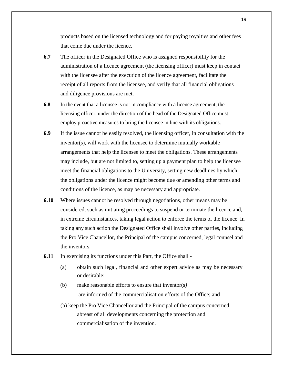products based on the licensed technology and for paying royalties and other fees that come due under the licence.

- **6.7** The officer in the Designated Office who is assigned responsibility for the administration of a licence agreement (the licensing officer) must keep in contact with the licensee after the execution of the licence agreement, facilitate the receipt of all reports from the licensee, and verify that all financial obligations and diligence provisions are met.
- **6.8** In the event that a licensee is not in compliance with a licence agreement, the licensing officer, under the direction of the head of the Designated Office must employ proactive measures to bring the licensee in line with its obligations.
- **6.9** If the issue cannot be easily resolved, the licensing officer, in consultation with the inventor(s), will work with the licensee to determine mutually workable arrangements that help the licensee to meet the obligations. These arrangements may include, but are not limited to, setting up a payment plan to help the licensee meet the financial obligations to the University, setting new deadlines by which the obligations under the licence might become due or amending other terms and conditions of the licence, as may be necessary and appropriate.
- **6.10** Where issues cannot be resolved through negotiations, other means may be considered, such as initiating proceedings to suspend or terminate the licence and, in extreme circumstances, taking legal action to enforce the terms of the licence. In taking any such action the Designated Office shall involve other parties, including the Pro Vice Chancellor, the Principal of the campus concerned, legal counsel and the inventors.
- **6.11** In exercising its functions under this Part, the Office shall
	- (a) obtain such legal, financial and other expert advice as may be necessary or desirable;
	- (b) make reasonable efforts to ensure that inventor(s*)* are informed of the commercialisation efforts of the Office; and
	- (b) keep the Pro Vice Chancellor and the Principal of the campus concerned abreast of all developments concerning the protection and commercialisation of the invention.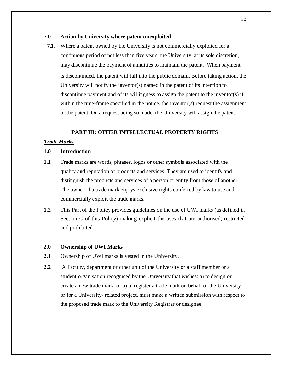#### **7.0 Action by University where patent unexploited**

**7.1**. Where a patent owned by the University is not commercially exploited for a continuous period of not less than five years, the University, at its sole discretion, may discontinue the payment of annuities to maintain the patent. When payment is discontinued, the patent will fall into the public domain. Before taking action, the University will notify the inventor(s) named in the patent of its intention to discontinue payment and of its willingness to assign the patent to the inventor(s) if, within the time-frame specified in the notice, the inventor(s) request the assignment of the patent. On a request being so made, the University will assign the patent.

#### **PART III: OTHER INTELLECTUAL PROPERTY RIGHTS**

#### *Trade Marks*

#### **1.0 Introduction**

- **1.1** Trade marks are words, phrases, logos or other symbols associated with the quality and reputation of products and services. They are used to identify and distinguish the products and services of a person or entity from those of another. The owner of a trade mark enjoys exclusive rights conferred by law to use and commercially exploit the trade marks.
- **1.2** This Part of the Policy provides guidelines on the use of UWI marks (as defined in Section C of this Policy) making explicit the uses that are authorised, restricted and prohibited.

#### **2.0 Ownership of UWI Marks**

- **2.1** Ownership of UWI marks is vested in the University.
- **2.2** A Faculty, department or other unit of the University or a staff member or a student organisation recognised by the University that wishes: a) to design or create a new trade mark; or b) to register a trade mark on behalf of the University or for a University- related project, must make a written submission with respect to the proposed trade mark to the University Registrar or designee.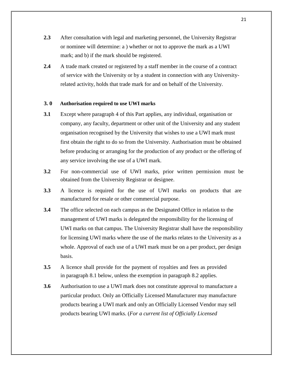- **2.3** After consultation with legal and marketing personnel, the University Registrar or nominee will determine: a ) whether or not to approve the mark as a UWI mark; and b) if the mark should be registered.
- **2.4** A trade mark created or registered by a staff member in the course of a contract of service with the University or by a student in connection with any Universityrelated activity, holds that trade mark for and on behalf of the University.

#### **3. 0 Authorisation required to use UWI marks**

- **3.1** Except where paragraph 4 of this Part applies, any individual, organisation or company, any faculty, department or other unit of the University and any student organisation recognised by the University that wishes to use a UWI mark must first obtain the right to do so from the University. Authorisation must be obtained before producing or arranging for the production of any product or the offering of any service involving the use of a UWI mark.
- **3.2** For non-commercial use of UWI marks, prior written permission must be obtained from the University Registrar or designee.
- **3.3** A licence is required for the use of UWI marks on products that are manufactured for resale or other commercial purpose.
- **3.4** The office selected on each campus as the Designated Office in relation to the management of UWI marks is delegated the responsibility for the licensing of UWI marks on that campus. The University Registrar shall have the responsibility for licensing UWI marks where the use of the marks relates to the University as a whole. Approval of each use of a UWI mark must be on a per product, per design basis.
- **3.5** A licence shall provide for the payment of royalties and fees as provided in paragraph 8.1 below, unless the exemption in paragraph 8.2 applies.
- **3.6** Authorisation to use a UWI mark does not constitute approval to manufacture a particular product. Only an Officially Licensed Manufacturer may manufacture products bearing a UWI mark and only an Officially Licensed Vendor may sell products bearing UWI marks. (*For a current list of Officially Licensed*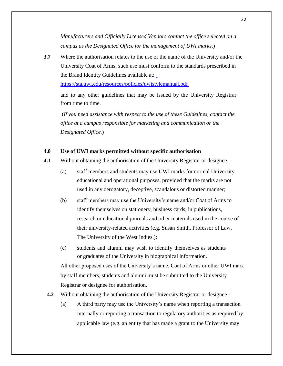*Manufacturers and Officially Licensed Vendors contact the office selected on a campus as the Designated Office for the management of UWI marks*.)

**3.7** Where the authorisation relates to the use of the name of the University and/or the University Coat of Arms, such use must conform to the standards prescribed in the Brand Identity Guidelines available at:

<https://sta.uwi.edu/resources/policies/uwistylemanual.pdf>

and to any other guidelines that may be issued by the University Registrar from time to time.

(*If you need assistance with respect to the use of these Guidelines, contact the office at a campus responsible for marketing and communication or the Designated Office.*)

#### **4.0 Use of UWI marks permitted without specific authorisation**

- **4.1** Without obtaining the authorisation of the University Registrar or designee
	- (a) staff members and students may use UWI marks for normal University educational and operational purposes, provided that the marks are not used in any derogatory, deceptive, scandalous or distorted manner;
	- (b) staff members may use the University's name and/or Coat of Arms to identify themselves on stationery, business cards, in publications, research or educational journals and other materials used in the course of their university-related activities (e.g. Susan Smith, Professor of Law, The University of the West Indies.);
	- (c) students and alumni may wish to identify themselves as students or graduates of the University in biographical information.

All other proposed uses of the University's name, Coat of Arms or other UWI mark by staff members, students and alumni must be submitted to the University Registrar or designee for authorisation.

- **4.2**. Without obtaining the authorisation of the University Registrar or designee
	- (a) A third party may use the University's name when reporting a transaction internally or reporting a transaction to regulatory authorities as required by applicable law (e.g. an entity that has made a grant to the University may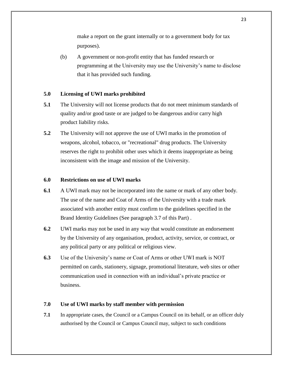make a report on the grant internally or to a government body for tax purposes).

(b) A government or non-profit entity that has funded research or programming at the University may use the University's name to disclose that it has provided such funding.

#### **5.0 Licensing of UWI marks prohibited**

- **5.1** The University will not license products that do not meet minimum standards of quality and/or good taste or are judged to be dangerous and/or carry high product liability risks.
- **5.2** The University will not approve the use of UWI marks in the promotion of weapons, alcohol, tobacco, or "recreational" drug products. The University reserves the right to prohibit other uses which it deems inappropriate as being inconsistent with the image and mission of the University.

#### **6.0 Restrictions on use of UWI marks**

- **6.1** A UWI mark may not be incorporated into the name or mark of any other body. The use of the name and Coat of Arms of the University with a trade mark associated with another entity must confirm to the guidelines specified in the Brand Identity Guidelines (See paragraph 3.7 of this Part) .
- **6.2** UWI marks may not be used in any way that would constitute an endorsement by the University of any organisation, product, activity, service, or contract, or any political party or any political or religious view.
- **6.3** Use of the University's name or Coat of Arms or other UWI mark is NOT permitted on cards, stationery, signage, promotional literature, web sites or other communication used in connection with an individual's private practice or business.

#### **7.0 Use of UWI marks by staff member with permission**

**7.1** In appropriate cases, the Council or a Campus Council on its behalf, or an officer duly authorised by the Council or Campus Council may, subject to such conditions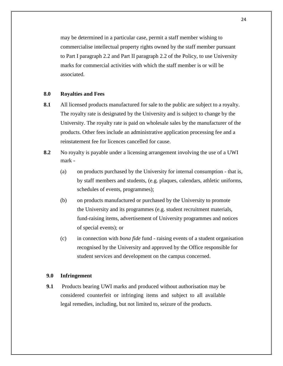may be determined in a particular case, permit a staff member wishing to commercialise intellectual property rights owned by the staff member pursuant to Part I paragraph 2.2 and Part II paragraph 2.2 of the Policy, to use University marks for commercial activities with which the staff member is or will be associated.

#### **8.0 Royalties and Fees**

- **8.1** All licensed products manufactured for sale to the public are subject to a royalty. The royalty rate is designated by the University and is subject to change by the University. The royalty rate is paid on wholesale sales by the manufacturer of the products. Other fees include an administrative application processing fee and a reinstatement fee for licences cancelled for cause.
- **8.2** No royalty is payable under a licensing arrangement involving the use of a UWI mark -
	- (a) on products purchased by the University for internal consumption that is, by staff members and students, (e.g. plaques, calendars, athletic uniforms, schedules of events, programmes);
	- (b) on products manufactured or purchased by the University to promote the University and its programmes (e.g. student recruitment materials, fund-raising items, advertisement of University programmes and notices of special events); or
	- (c) in connection with *bona fide* fund raising events of a student organisation recognised by the University and approved by the Office responsible for student services and development on the campus concerned.

#### **9.0 Infringement**

**9.1** Products bearing UWI marks and produced without authorisation may be considered counterfeit or infringing items and subject to all available legal remedies, including, but not limited to, seizure of the products.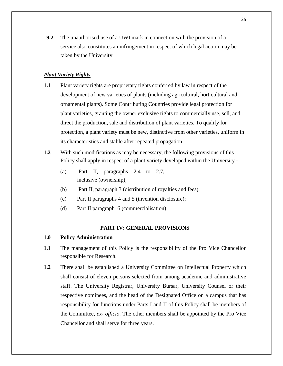**9.2** The unauthorised use of a UWI mark in connection with the provision of a service also constitutes an infringement in respect of which legal action may be taken by the University.

#### *Plant Variety Rights*

- **1.1** Plant variety rights are proprietary rights conferred by law in respect of the development of new varieties of plants (including agricultural, horticultural and ornamental plants). Some Contributing Countries provide legal protection for plant varieties, granting the owner exclusive rights to commercially use, sell, and direct the production, sale and distribution of plant varieties. To qualify for protection, a plant variety must be new, distinctive from other varieties, uniform in its characteristics and stable after repeated propagation.
- **1.2** With such modifications as may be necessary, the following provisions of this Policy shall apply in respect of a plant variety developed within the University -
	- (a) Part II, paragraphs 2.4 to 2.7, inclusive (ownership);
	- (b) Part II, paragraph 3 (distribution of royalties and fees);
	- (c) Part II paragraphs 4 and 5 (invention disclosure);
	- (d) Part II paragraph 6 (commercialisation).

#### **PART IV: GENERAL PROVISIONS**

#### **1.0 Policy Administration**

- **1.1** The management of this Policy is the responsibility of the Pro Vice Chancellor responsible for Research.
- **1.2** There shall be established a University Committee on Intellectual Property which shall consist of eleven persons selected from among academic and administrative staff. The University Registrar, University Bursar, University Counsel or their respective nominees, and the head of the Designated Office on a campus that has responsibility for functions under Parts I and II of this Policy shall be members of the Committee, *ex- officio*. The other members shall be appointed by the Pro Vice Chancellor and shall serve for three years.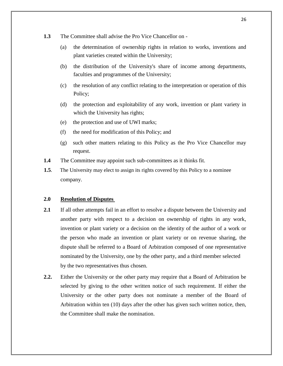- **1.3** The Committee shall advise the Pro Vice Chancellor on
	- (a) the determination of ownership rights in relation to works, inventions and plant varieties created within the University;
	- (b) the distribution of the University's share of income among departments, faculties and programmes of the University;
	- (c) the resolution of any conflict relating to the interpretation or operation of this Policy;
	- (d) the protection and exploitability of any work, invention or plant variety in which the University has rights;
	- (e) the protection and use of UWI marks;
	- (f) the need for modification of this Policy; and
	- (g) such other matters relating to this Policy as the Pro Vice Chancellor may request.
- **1.4** The Committee may appoint such sub-committees as it thinks fit.
- **1.5**. The University may elect to assign its rights covered by this Policy to a nominee company.

#### **2.0 Resolution of Disputes**

- 2.1 If all other attempts fail in an effort to resolve a dispute between the University and another party with respect to a decision on ownership of rights in any work, invention or plant variety or a decision on the identity of the author of a work or the person who made an invention or plant variety or on revenue sharing, the dispute shall be referred to a Board of Arbitration composed of one representative nominated by the University, one by the other party, and a third member selected by the two representatives thus chosen.
- **2.2.** Either the University or the other party may require that a Board of Arbitration be selected by giving to the other written notice of such requirement. If either the University or the other party does not nominate a member of the Board of Arbitration within ten (10) days after the other has given such written notice, then, the Committee shall make the nomination.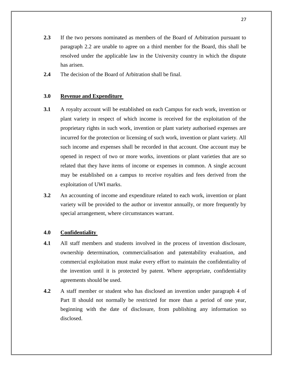- **2.3** If the two persons nominated as members of the Board of Arbitration pursuant to paragraph 2.2 are unable to agree on a third member for the Board, this shall be resolved under the applicable law in the University country in which the dispute has arisen.
- **2.4** The decision of the Board of Arbitration shall be final.

#### **3.0 Revenue and Expenditure**

- **3.1** A royalty account will be established on each Campus for each work, invention or plant variety in respect of which income is received for the exploitation of the proprietary rights in such work, invention or plant variety authorised expenses are incurred for the protection or licensing of such work, invention or plant variety. All such income and expenses shall be recorded in that account. One account may be opened in respect of two or more works, inventions or plant varieties that are so related that they have items of income or expenses in common. A single account may be established on a campus to receive royalties and fees derived from the exploitation of UWI marks.
- **3.2** An accounting of income and expenditure related to each work, invention or plant variety will be provided to the author or inventor annually, or more frequently by special arrangement, where circumstances warrant.

#### **4.0 Confidentiality**

- **4.1** All staff members and students involved in the process of invention disclosure, ownership determination, commercialisation and patentability evaluation, and commercial exploitation must make every effort to maintain the confidentiality of the invention until it is protected by patent. Where appropriate, confidentiality agreements should be used.
- **4.2** A staff member or student who has disclosed an invention under paragraph 4 of Part II should not normally be restricted for more than a period of one year, beginning with the date of disclosure, from publishing any information so disclosed.